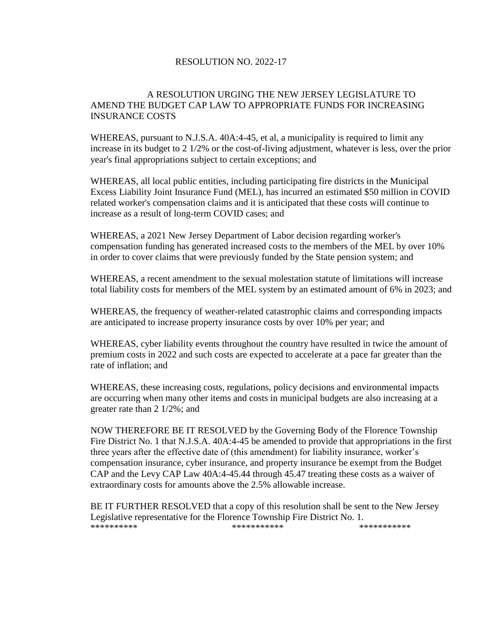## RESOLUTION NO. 2022-17

## A RESOLUTION URGING THE NEW JERSEY LEGISLATURE TO AMEND THE BUDGET CAP LAW TO APPROPRIATE FUNDS FOR INCREASING INSURANCE COSTS

WHEREAS, pursuant to N.J.S.A. 40A:4-45, et al, a municipality is required to limit any increase in its budget to 2 1/2% or the cost-of-living adjustment, whatever is less, over the prior year's final appropriations subject to certain exceptions; and

WHEREAS, all local public entities, including participating fire districts in the Municipal Excess Liability Joint Insurance Fund (MEL), has incurred an estimated \$50 million in COVID related worker's compensation claims and it is anticipated that these costs will continue to increase as a result of long-term COVID cases; and

WHEREAS, a 2021 New Jersey Department of Labor decision regarding worker's compensation funding has generated increased costs to the members of the MEL by over 10% in order to cover claims that were previously funded by the State pension system; and

WHEREAS, a recent amendment to the sexual molestation statute of limitations will increase total liability costs for members of the MEL system by an estimated amount of 6% in 2023; and

WHEREAS, the frequency of weather-related catastrophic claims and corresponding impacts are anticipated to increase property insurance costs by over 10% per year; and

WHEREAS, cyber liability events throughout the country have resulted in twice the amount of premium costs in 2022 and such costs are expected to accelerate at a pace far greater than the rate of inflation; and

WHEREAS, these increasing costs, regulations, policy decisions and environmental impacts are occurring when many other items and costs in municipal budgets are also increasing at a greater rate than 2 1/2%; and

NOW THEREFORE BE IT RESOLVED by the Governing Body of the Florence Township Fire District No. 1 that N.J.S.A. 40A:4-45 be amended to provide that appropriations in the first three years after the effective date of (this amendment) for liability insurance, worker's compensation insurance, cyber insurance, and property insurance be exempt from the Budget CAP and the Levy CAP Law 40A:4-45.44 through 45.47 treating these costs as a waiver of extraordinary costs for amounts above the 2.5% allowable increase.

BE IT FURTHER RESOLVED that a copy of this resolution shall be sent to the New Jersey Legislative representative for the Florence Township Fire District No. 1. \*\*\*\*\*\*\*\*\*\* \*\*\*\*\*\*\*\*\*\*\* \*\*\*\*\*\*\*\*\*\*\*